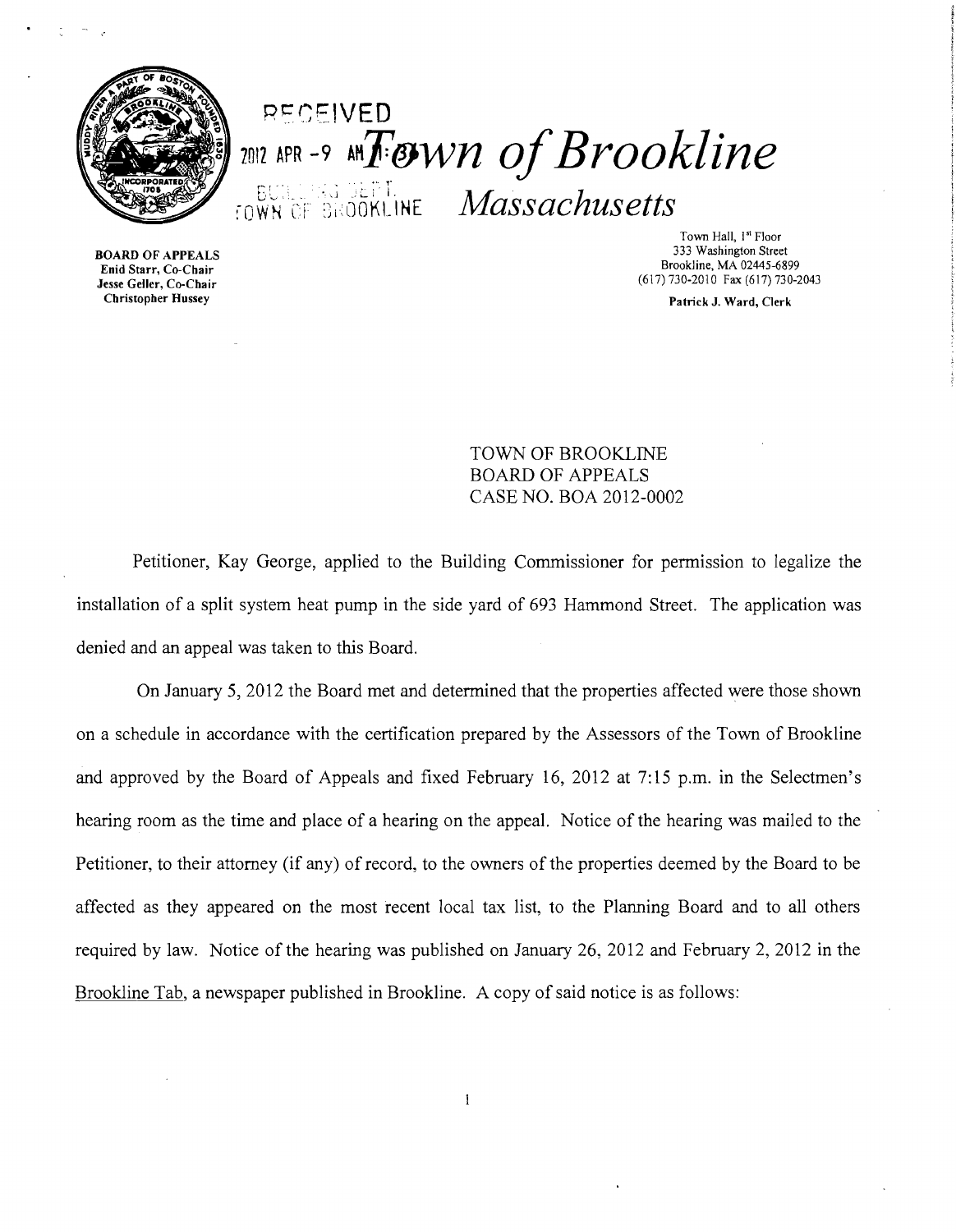

**BOARD OF APPEALS** 

# **EUNE NETERE Massachusetts** P~CEIVED 2012 APR -9 AM $\bm{F}$ *ESWN of Brookline*

Town Hall, 1<sup>st</sup> Floor<br>333 Washington Street Enid Starr, Co-Chair<br>
Enid Starr, Co-Chair<br>
Jesse Geller, Co-Chair (617) 730-2010 Fax (617) 730-2010

(617) 730-2010 Fax (617) 730-2043 Christopher Hussey Patrick J. Ward, Clerk

> TOWN OF BROOKLINE BOARD OF APPEALS CASE NO. BOA 2012-0002

Petitioner, Kay George, applied to the Building Commissioner for permission to legalize the installation of a split system heat pump in the side yard of 693 Hammond Street. The application was denied and an appeal was taken to this Board.

On January 5, 2012 the Board met and detennined that the properties affected were those shown on a schedule in accordance with the certification prepared by the Assessors of the Town of Brookline and approved by the Board of Appeals and fixed February 16,2012 at 7:15 p.m. in the Selectmen's hearing room as the time and place of a hearing on the appeal. Notice of the hearing was mailed to the Petitioner, to their attorney (if any) of record, to the owners of the properties deemed by the Board to be affected as they appeared on the most recent local tax list, to the Planning Board and to all others required by law. Notice of the hearing was published on January 26,2012 and February 2, 2012 in the Brookline Tab, a newspaper published in Brookline. A copy of said notice is as follows:

 $\mathbf{I}$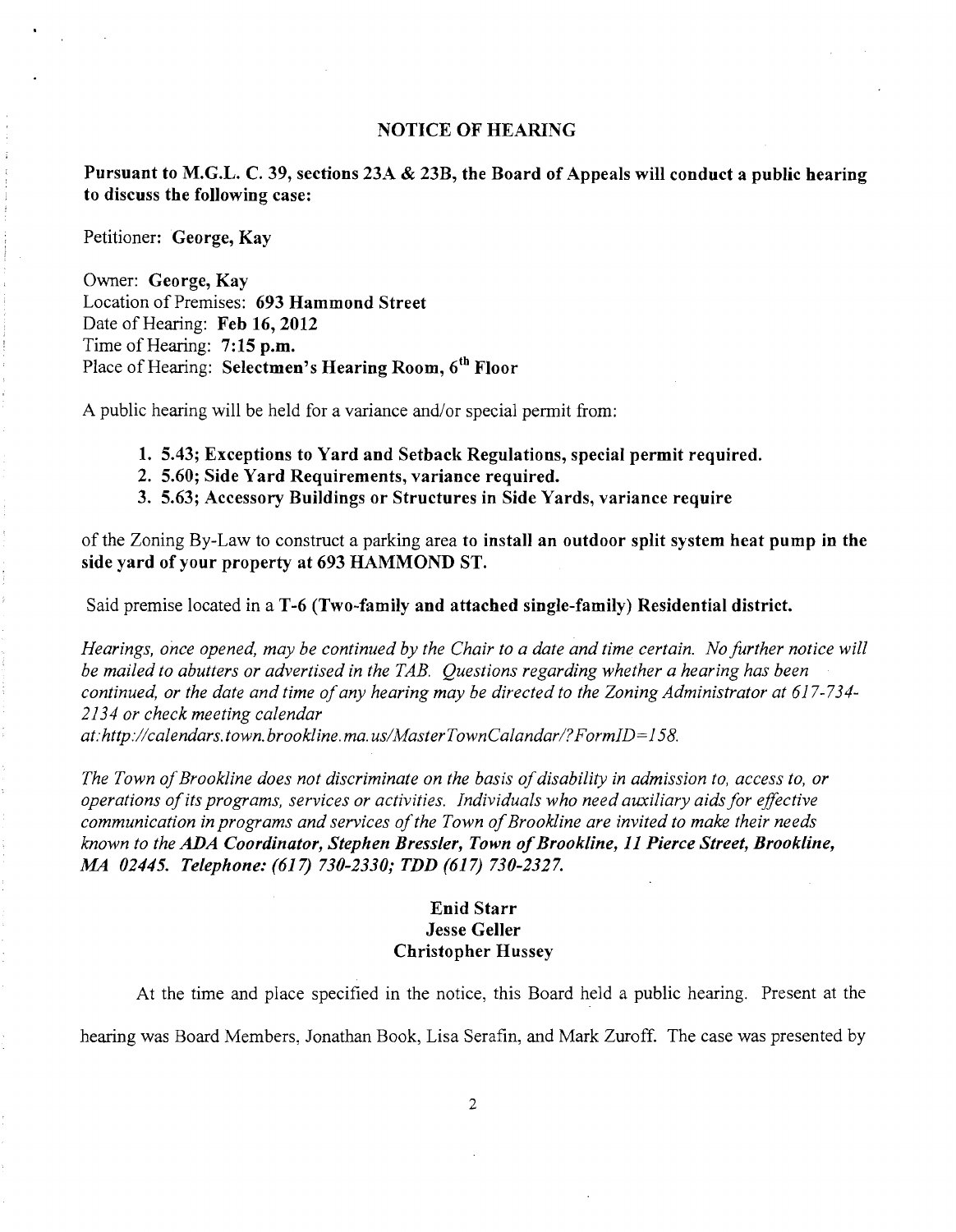### NOTICE OF HEARING

Pursuant to M.G.L. C. 39, sections 23A & 23B, the Board of Appeals will conduct a public hearing to discuss the following case:

Petitioner: George, Kay

Owner: George, Kay Location of Premises: 693 Hammond Street Date of Hearing: Feb 16, 2012 Time of Hearing: 7:15 p.m. Place of Hearing: Selectmen's Hearing Room, 6<sup>th</sup> Floor

A public hearing will be held for a variance and/or special permit from:

- 1. 5.43; Exceptions to Yard and Setback Regulations, special permit required.
- 2. 5.60; Side Yard Requirements, variance required.
- 3. 5.63; Accessory Buildings or Structures in Side Yards, variance require

of the Zoning By-Law to construct a parking area to install an outdoor split system heat pump in the side yard of your property at 693 HAMMOND ST.

Said premise located in a T-6 (Two~family and attached single-family) Residential district.

*Hearings, once opened, may be continued by the Chair to a date and time certain. No further notice will be mailed to abutters or advertised in the TAB. Questions regarding whether a hearing has been continued, or the date and time ofany hearing may be directed to the Zoning Administrator at* 617-734 *2134 or check meeting calendar* 

*at:http://calendars.town.brookline.ma.usIMasterTownCalandarl?FormID= 158.* 

The Town of Brookline does not discriminate on the basis of disability in admission to, access to, or *operations ofits programs, services or activities. Individuals who need auxiliary aidsfor effective communication in programs and services of the Town of Brookline are invited to make their needs known to the ADA Coordinator, Stephen Bressler, Town ofBrookline,* 11 *Pierce Street, Brookline, MA 02445. Telephone:* (617) *730-2330; TDD* (617) *730-2327.* 

## Enid Starr Jesse Geller Christopher Hussey

At the time and place specified in the notice, this Board held a public hearing. Present at the hearing was Board Members, Jonathan Book, Lisa Serafin, and Mark Zuroff. The case was presented by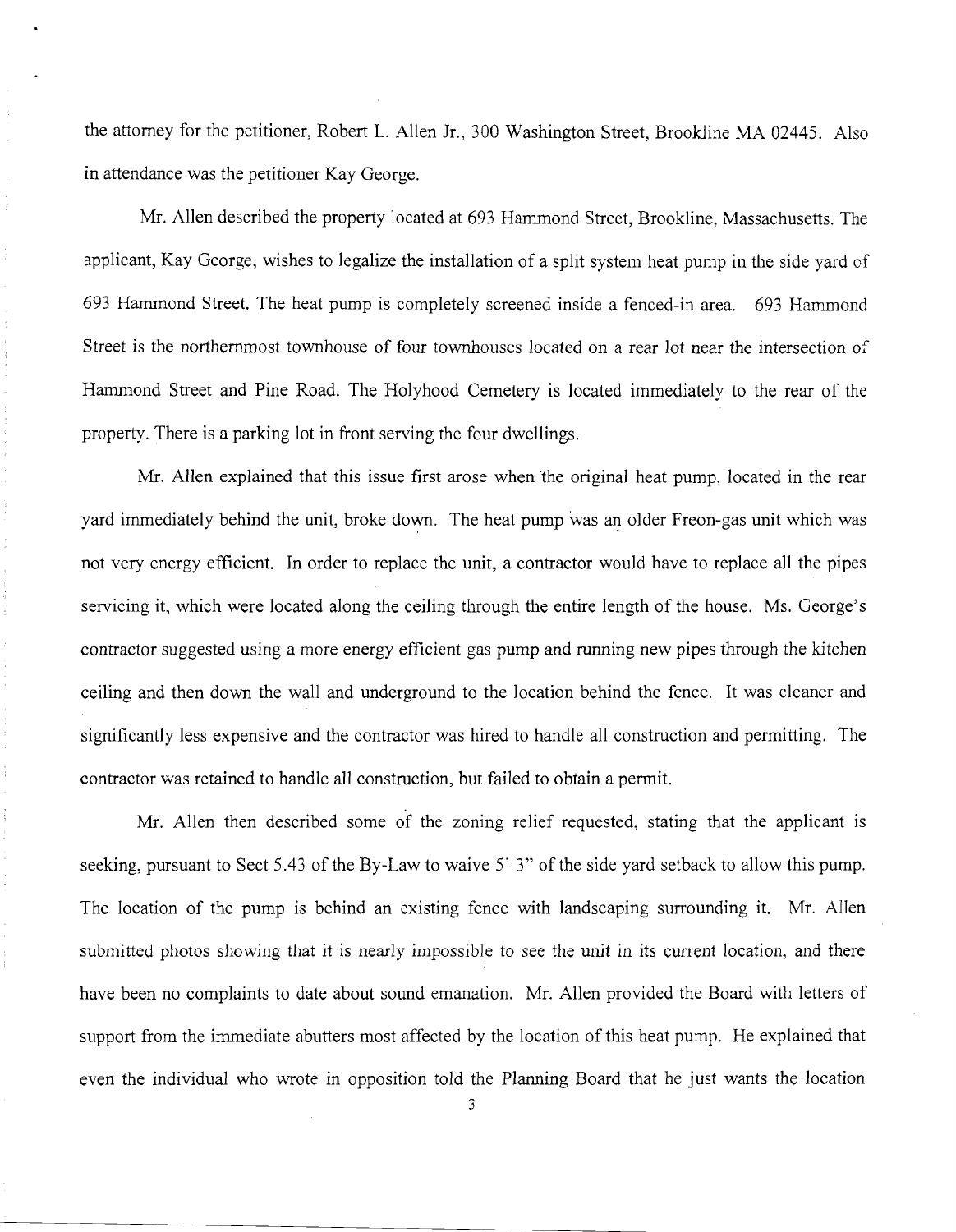the attorney for the petitioner, Robert L. Allen Jr., 300 Washington Street, Brookline MA 02445. Also in attendance was the petitioner Kay George.

Mr. Allen described the property located at 693 Hammond Street, Brookline, Massachusetts. The applicant, Kay George, wishes to legalize the installation of a split system heat pump in the side yard of 693 Hammond Street. The heat pump is completely screened inside a fenced-in area. 693 Hammond Street is the northernmost townhouse of four townhouses located on a rear lot near the intersection of Hammond Street and Pine Road. The Holyhood Cemetery is located immediately to the rear of the property. There is a parking lot in front serving the four dwellings.

Mr. Allen explained that this issue first arose when the original heat pump, located in the rear yard immediately behind the unit, broke down. The heat pump was an older Freon-gas unit which was not very energy efficient. In order to replace the unit, a contractor would have to replace all the pipes servicing it, which were located along the ceiling through the entire length of the house. Ms. George's contractor suggested using a more energy efficient gas pump and running new pipes through the kitchen ceiling and then down the wall and underground to the location behind the fence. It was cleaner and significantly less expensive and the contractor was hired to handle all construction and permitting. The contractor was retained to handle all construction, but failed to obtain a permit.

 $\frac{1}{2}$ 

Mr. Allen then described some of the zoning relief requested, stating that the applicant is seeking, pursuant to Sect 5.43 of the By-Law to waive 5' 3" of the side yard setback to allow this pump. The location of the pump is behind an existing fence with landscaping surrounding it. Mr. Allen submitted photos showing that it is nearly impossible to see the unit in its current location, and there have been no complaints to date about sound emanation. Mr. Allen provided the Board with letters of support from the immediate abutters most affected by the location of this heat pump. He explained that even the individual who wrote in opposition told the Planning Board that he just wants the location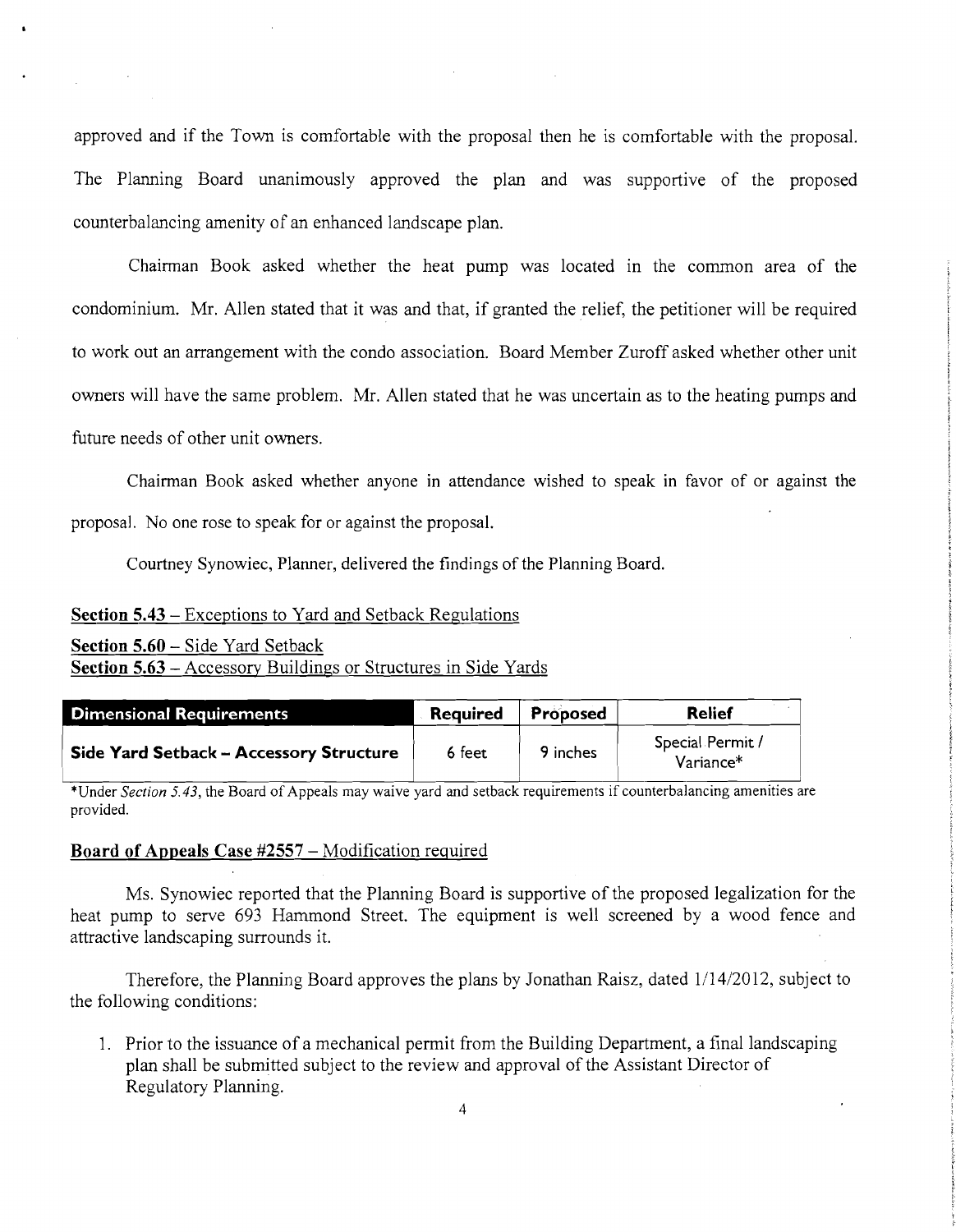approved and if the Town is comfortable with the proposal then he is comfortable with the proposal. The Planning Board unanimously approved the plan and was supportive of the proposed counterbalancing amenity of an enhanced landscape plan.

Chairman Book asked whether the heat pump was located in the common area of the condominium. Mr. Allen stated that it was and that, if granted the relief, the petitioner will be required to work out an arrangement with the condo association. Board Member Zuroff asked whether other unit owners will have the same problem. Mr. Allen stated that he was uncertain as to the heating pumps and future needs of other unit owners.

Chairman Book asked whether anyone in attendance wished to speak in favor of or against the proposal. No one rose to speak for or against the proposal.

Courtney Synowiec, Planner, delivered the findings of the Planning Board.

## **Section 5.43** - Exceptions to Yard and Setback Regulations

| <b>Section 5.60 – Side Yard Setback</b>                               |  |
|-----------------------------------------------------------------------|--|
| <b>Section 5.63 – Accessory Buildings or Structures in Side Yards</b> |  |

| Dimensional Requirements                | <b>Required</b> | Proposed | Relief                                    |
|-----------------------------------------|-----------------|----------|-------------------------------------------|
| Side Yard Setback - Accessory Structure | 6 feet          | 9 inches | Special Permit /<br>Variance <sup>*</sup> |

\*Under *Section* 5.43, the Board of Appeals may waive yard and setback requirements if counterbalancing amenities are provided.

#### **Board of Appeals** Case #2557 - Modification required

Ms. Synowiec reported that the Planning Board is supportive of the proposed legalization for the heat pump to serve 693 Hammond Street. The equipment is well screened by a wood fence and attractive landscaping surrounds it.

Therefore, the Planning Board approves the plans by Jonathan Raisz, dated 1/14/2012, subject to the following conditions:

1. Prior to the issuance of a mechanical permit from the Building Department, a final landscaping plan shall be submitted subject to the review and approval of the Assistant Director of Regulatory Planning.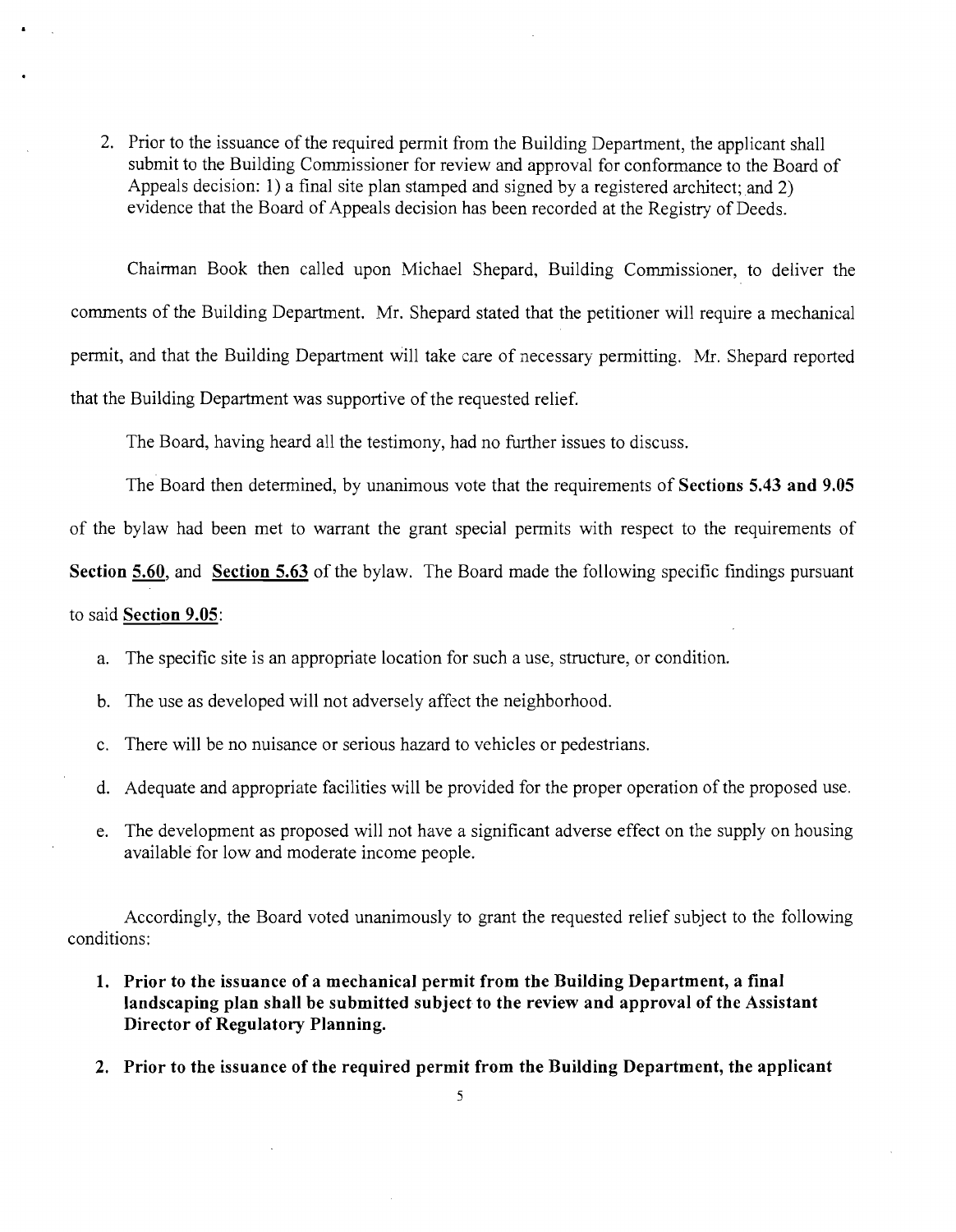2. Prior to the issuance of the required permit from the Building Department, the applicant shall submit to the Building Commissioner for review and approval for conformance to the Board of Appeals decision: 1) a final site plan stamped and signed by a registered architect; and 2) evidence that the Board of Appeals decision has been recorded at the Registry of Deeds.

Chairman Book then called upon Michael Shepard, Building Commissioner, to deliver the comments of the Building Department. Mr. Shepard stated that the petitioner will require a mechanical permit, and that the Building Department will take care of necessary permitting. Mr. Shepard reported that the Building Department was supportive of the requested relief.

The Board, having heard all the testimony, had no further issues to discuss.

The Board then determined, by unanimous vote that the requirements of **Sections 5.43 and 9.05**  of the bylaw had been met to warrant the grant special permits with respect to the requirements of **Section 5.60,** and **Section 5.63** of the bylaw. The Board made the following specific findings pursuant

# to said **Section 9.05:**

- a. The specific site is an appropriate location for such a use, structure, or condition.
- b. The use as developed will not adversely affect the neighborhood.
- c. There will be no nuisance or serious hazard to vehicles or pedestrians.
- d. Adequate and appropriate facilities will be provided for the proper operation of the proposed use.
- e. The development as proposed will not have a significant adverse effect on the supply on housing available for low and moderate income people.

Accordingly, the Board voted unanimously to grant the requested relief subject to the following conditions:

- **1.** Prior to the issuance of a mechanical permit from the Building Department, a final **landscaping plan shall be submitted subject to the review and approval of the Assistant Director of Regulatory Planning.**
- **2. Prior to the issuance of the required permit from the Building Department, the applicant**